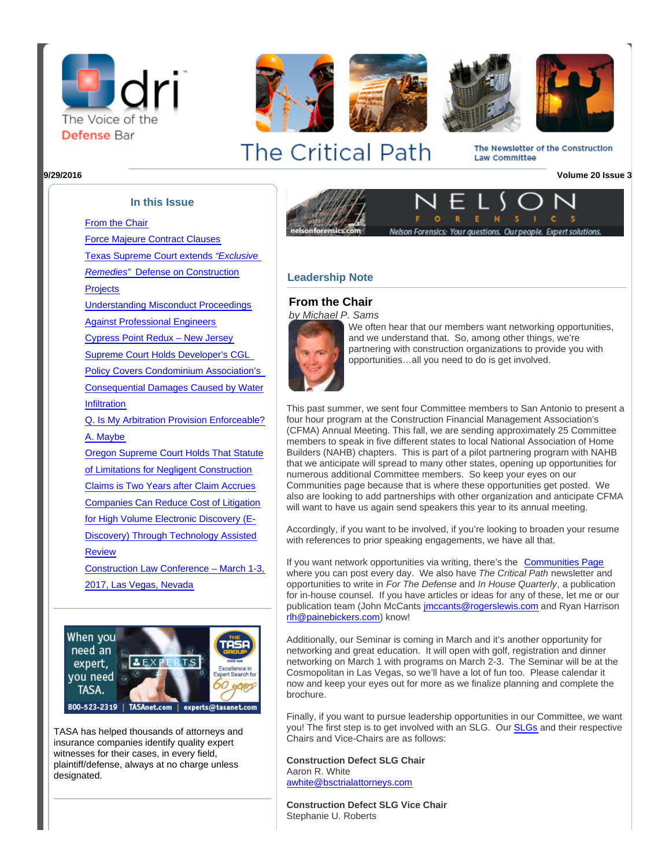









The Newsletter of the Construction Law Committee

## **In this Issue**

[From the Chair](http://portal.criticalimpact.com/newsletter/newslettershow5.cfm?contentonly=1&content=30779&id=3700)

[Force Majeure Contract Clauses](http://portal.criticalimpact.com/newsletter/newslettershow5.cfm?contentonly=1&content=30780&id=3700) [Texas Supreme Court extends](http://portal.criticalimpact.com/newsletter/newslettershow5.cfm?contentonly=1&content=30864&id=3700) ["Exclusive](http://portal.criticalimpact.com/newsletter/newslettershow5.cfm?contentonly=1&content=30864&id=3700) [Remedies"](http://portal.criticalimpact.com/newsletter/newslettershow5.cfm?contentonly=1&content=30864&id=3700) [Defense on Construction](http://portal.criticalimpact.com/newsletter/newslettershow5.cfm?contentonly=1&content=30864&id=3700)

**[Projects](http://portal.criticalimpact.com/newsletter/newslettershow5.cfm?contentonly=1&content=30864&id=3700)** 

[Understanding Misconduct Proceedings](http://portal.criticalimpact.com/newsletter/newslettershow5.cfm?contentonly=1&content=30865&id=3700) [Against Professional Engineers](http://portal.criticalimpact.com/newsletter/newslettershow5.cfm?contentonly=1&content=30865&id=3700)

[Cypress Point Redux – New Jersey](http://portal.criticalimpact.com/newsletter/newslettershow5.cfm?contentonly=1&content=30866&id=3700) [Supreme Court Holds Developer's CGL](http://portal.criticalimpact.com/newsletter/newslettershow5.cfm?contentonly=1&content=30866&id=3700) [Policy Covers Condominium Association's](http://portal.criticalimpact.com/newsletter/newslettershow5.cfm?contentonly=1&content=30866&id=3700)

[Consequential Damages Caused by Water](http://portal.criticalimpact.com/newsletter/newslettershow5.cfm?contentonly=1&content=30866&id=3700) [Infiltration](http://portal.criticalimpact.com/newsletter/newslettershow5.cfm?contentonly=1&content=30866&id=3700)

[Q. Is My Arbitration Provision Enforceable?](http://portal.criticalimpact.com/newsletter/newslettershow5.cfm?contentonly=1&content=30867&id=3700) [A. Maybe](http://portal.criticalimpact.com/newsletter/newslettershow5.cfm?contentonly=1&content=30867&id=3700)

[Oregon Supreme Court Holds That Statute](http://portal.criticalimpact.com/newsletter/newslettershow5.cfm?contentonly=1&content=30868&id=3700) [of Limitations for Negligent Construction](http://portal.criticalimpact.com/newsletter/newslettershow5.cfm?contentonly=1&content=30868&id=3700) [Claims is Two Years after Claim Accrues](http://portal.criticalimpact.com/newsletter/newslettershow5.cfm?contentonly=1&content=30868&id=3700) [Companies Can Reduce Cost of Litigation](http://portal.criticalimpact.com/newsletter/newslettershow5.cfm?contentonly=1&content=30869&id=3700) [for High Volume Electronic Discovery \(E-](http://portal.criticalimpact.com/newsletter/newslettershow5.cfm?contentonly=1&content=30869&id=3700)[Discovery\) Through Technology Assisted](http://portal.criticalimpact.com/newsletter/newslettershow5.cfm?contentonly=1&content=30869&id=3700) [Review](http://portal.criticalimpact.com/newsletter/newslettershow5.cfm?contentonly=1&content=30869&id=3700)

[Construction Law Conference – March 1-3,](http://portal.criticalimpact.com/newsletter/newslettershow5.cfm?contentonly=1&content=30870&id=3700) [2017, Las Vegas, Nevada](http://portal.criticalimpact.com/newsletter/newslettershow5.cfm?contentonly=1&content=30870&id=3700)



TASA has helped thousands of attorneys and insurance companies identify quality expert witnesses for their cases, in every field, plaintiff/defense, always at no charge unless designated.



## **Leadership Note**

## **From the Chair**

by Michael P. Sams



We often hear that our members want networking opportunities. and we understand that. So, among other things, we're partnering with construction organizations to provide you with opportunities…all you need to do is get involved.

This past summer, we sent four Committee members to San Antonio to present a four hour program at the Construction Financial Management Association's (CFMA) Annual Meeting. This fall, we are sending approximately 25 Committee members to speak in five different states to local National Association of Home Builders (NAHB) chapters. This is part of a pilot partnering program with NAHB that we anticipate will spread to many other states, opening up opportunities for numerous additional Committee members. So keep your eyes on our Communities page because that is where these opportunities get posted. We also are looking to add partnerships with other organization and anticipate CFMA will want to have us again send speakers this year to its annual meeting.

Accordingly, if you want to be involved, if you're looking to broaden your resume with references to prior speaking engagements, we have all that.

If you want network opportunities via writing, there's the [Communities Page](http://community.dri.org/home) where you can post every day. We also have The Critical Path newsletter and opportunities to write in For The Defense and In House Quarterly, a publication for in-house counsel. If you have articles or ideas for any of these, let me or our publication team (John McCants [jmccants@rogerslewis.com](mailto:jmccants@rogerslewis.com) and Ryan Harrison [rlh@painebickers.com](mailto:rlh@painebickers.com)) know!

Additionally, our Seminar is coming in March and it's another opportunity for networking and great education. It will open with golf, registration and dinner networking on March 1 with programs on March 2-3. The Seminar will be at the Cosmopolitan in Las Vegas, so we'll have a lot of fun too. Please calendar it now and keep your eyes out for more as we finalize planning and complete the brochure.

Finally, if you want to pursue leadership opportunities in our Committee, we want you! The first step is to get involved with an SLG. Our [SLGs](http://dri.org/Committee/Join?code=0050) and their respective Chairs and Vice-Chairs are as follows:

**Construction Defect SLG Chair** Aaron R. White [awhite@bsctrialattorneys.com](mailto:awhite@bsctrialattorneys.com)

**Construction Defect SLG Vice Chair** Stephanie U. Roberts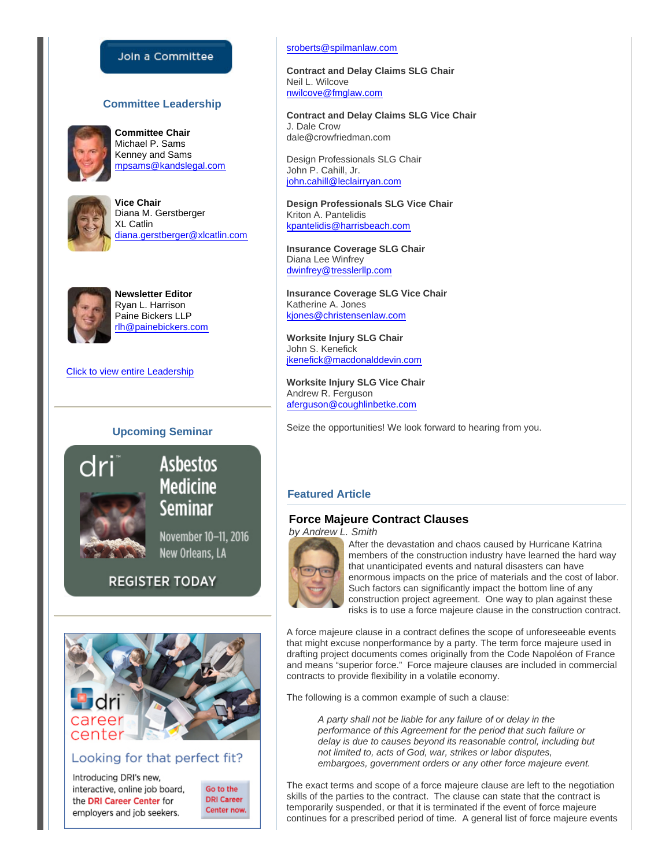## Join a Committee

## **Committee Leadership**



**Committee Chair** Michael P. Sams Kenney and Sams [mpsams@kandslegal.com](mailto:mpsams@kandslegal.com)



**Vice Chair** Diana M. Gerstberger XL Catlin [diana.gerstberger@xlcatlin.com](mailto:diana.gerstberger@xlcatlin.com)



**Newsletter Editor** Ryan L. Harrison Paine Bickers LLP [rlh@painebickers.com](mailto:rlh@painebickers.com)

[Click to view entire Leadership](http://www.dri.org/Committee/Leadership?code=0050)

## **Upcoming Seminar**



# **Asbestos Medicine Seminar**

November 10-11, 2016 New Orleans, LA

## **REGISTER TODAY**



## Looking for that perfect fit?

Introducing DRI's new, interactive, online job board. the DRI Career Center for employers and job seekers.

Go to the **DRI Career** Center now.

#### [sroberts@spilmanlaw.com](mailto:sroberts@spilmanlaw.com)

**Contract and Delay Claims SLG Chair** Neil L. Wilcove [nwilcove@fmglaw.com](mailto:nwilcove@fmglaw.com)

**Contract and Delay Claims SLG Vice Chair** J. Dale Crow dale@crowfriedman.com

Design Professionals SLG Chair John P. Cahill, Jr. [john.cahill@leclairryan.com](mailto:john.cahill@leclairryan.com)

**Design Professionals SLG Vice Chair** Kriton A. Pantelidis [kpantelidis@harrisbeach.com](mailto:kpantelidis@harrisbeach.com)

**Insurance Coverage SLG Chair** Diana Lee Winfrey [dwinfrey@tresslerllp.com](mailto:dwinfrey@tresslerllp.com)

**Insurance Coverage SLG Vice Chair** Katherine A. Jones [kjones@christensenlaw.com](mailto:kjones@christensenlaw.com)

**Worksite Injury SLG Chair** John S. Kenefick [jkenefick@macdonalddevin.com](mailto:jkenefick@macdonalddevin.com)

**Worksite Injury SLG Vice Chair** Andrew R. Ferguson [aferguson@coughlinbetke.com](mailto:aferguson@coughlinbetke.com)

Seize the opportunities! We look forward to hearing from you.

## **Featured Article**

## **Force Majeure Contract Clauses**

by Andrew L. Smith



After the devastation and chaos caused by Hurricane Katrina members of the construction industry have learned the hard way that unanticipated events and natural disasters can have enormous impacts on the price of materials and the cost of labor. Such factors can significantly impact the bottom line of any construction project agreement. One way to plan against these risks is to use a force majeure clause in the construction contract.

A force majeure clause in a contract defines the scope of unforeseeable events that might excuse nonperformance by a party. The term force majeure used in drafting project documents comes originally from the Code Napoléon of France and means "superior force." Force majeure clauses are included in commercial contracts to provide flexibility in a volatile economy.

The following is a common example of such a clause:

A party shall not be liable for any failure of or delay in the performance of this Agreement for the period that such failure or delay is due to causes beyond its reasonable control, including but not limited to, acts of God, war, strikes or labor disputes, embargoes, government orders or any other force majeure event.

The exact terms and scope of a force majeure clause are left to the negotiation skills of the parties to the contract. The clause can state that the contract is temporarily suspended, or that it is terminated if the event of force majeure continues for a prescribed period of time. A general list of force majeure events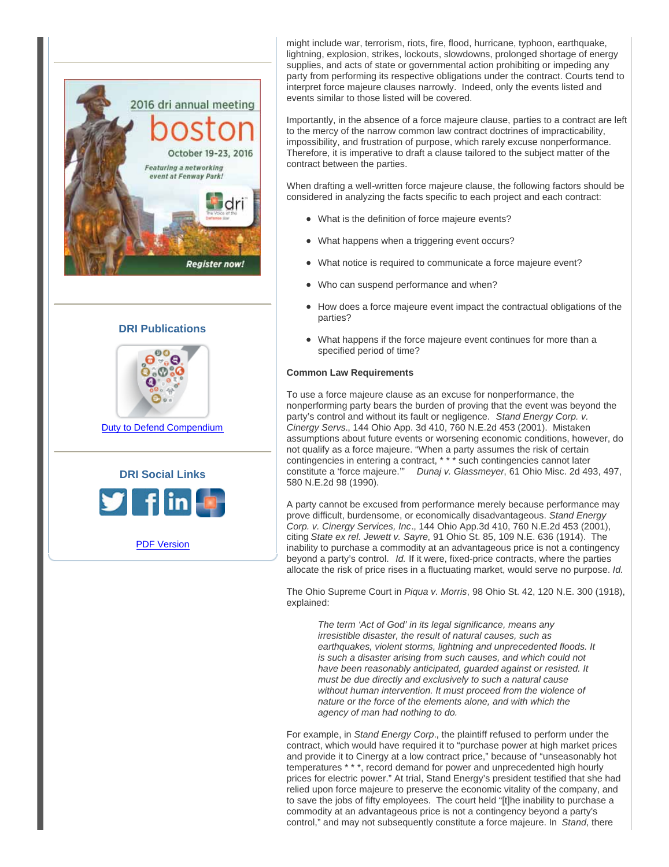





[Duty to Defend Compendium](http://www.dri.org/Store/Product?productCode=2016-01D)



[PDF Version](http://portal.criticalimpact.com/newsletter/newslettershow5.cfm?id=3700&pdf=1)

might include war, terrorism, riots, fire, flood, hurricane, typhoon, earthquake, lightning, explosion, strikes, lockouts, slowdowns, prolonged shortage of energy supplies, and acts of state or governmental action prohibiting or impeding any party from performing its respective obligations under the contract. Courts tend to interpret force majeure clauses narrowly. Indeed, only the events listed and events similar to those listed will be covered.

Importantly, in the absence of a force majeure clause, parties to a contract are left to the mercy of the narrow common law contract doctrines of impracticability, impossibility, and frustration of purpose, which rarely excuse nonperformance. Therefore, it is imperative to draft a clause tailored to the subject matter of the contract between the parties.

When drafting a well-written force majeure clause, the following factors should be considered in analyzing the facts specific to each project and each contract:

- What is the definition of force majeure events?
- What happens when a triggering event occurs?
- What notice is required to communicate a force majeure event?
- Who can suspend performance and when?
- How does a force majeure event impact the contractual obligations of the parties?
- What happens if the force majeure event continues for more than a specified period of time?

#### **Common Law Requirements**

To use a force majeure clause as an excuse for nonperformance, the nonperforming party bears the burden of proving that the event was beyond the party's control and without its fault or negligence. Stand Energy Corp. v. Cinergy Servs., 144 Ohio App. 3d 410, 760 N.E.2d 453 (2001). Mistaken assumptions about future events or worsening economic conditions, however, do not qualify as a force majeure. "When a party assumes the risk of certain contingencies in entering a contract, \* \* \* such contingencies cannot later constitute a 'force majeure." Dunaj v. Glassmeyer, 61 Ohio Misc. 2d 493, 497, 580 N.E.2d 98 (1990).

A party cannot be excused from performance merely because performance may prove difficult, burdensome, or economically disadvantageous. Stand Energy Corp. v. Cinergy Services, Inc., 144 Ohio App.3d 410, 760 N.E.2d 453 (2001), citing State ex rel. Jewett v. Sayre, 91 Ohio St. 85, 109 N.E. 636 (1914). The inability to purchase a commodity at an advantageous price is not a contingency beyond a party's control. Id. If it were, fixed-price contracts, where the parties allocate the risk of price rises in a fluctuating market, would serve no purpose. Id.

The Ohio Supreme Court in Piqua v. Morris, 98 Ohio St. 42, 120 N.E. 300 (1918), explained:

The term 'Act of God' in its legal significance, means any irresistible disaster, the result of natural causes, such as earthquakes, violent storms, lightning and unprecedented floods. It is such a disaster arising from such causes, and which could not have been reasonably anticipated, guarded against or resisted. It must be due directly and exclusively to such a natural cause without human intervention. It must proceed from the violence of nature or the force of the elements alone, and with which the agency of man had nothing to do.

For example, in Stand Energy Corp., the plaintiff refused to perform under the contract, which would have required it to "purchase power at high market prices and provide it to Cinergy at a low contract price," because of "unseasonably hot temperatures \* \* \*, record demand for power and unprecedented high hourly prices for electric power." At trial, Stand Energy's president testified that she had relied upon force majeure to preserve the economic vitality of the company, and to save the jobs of fifty employees. The court held "[t]he inability to purchase a commodity at an advantageous price is not a contingency beyond a party's control," and may not subsequently constitute a force majeure. In Stand, there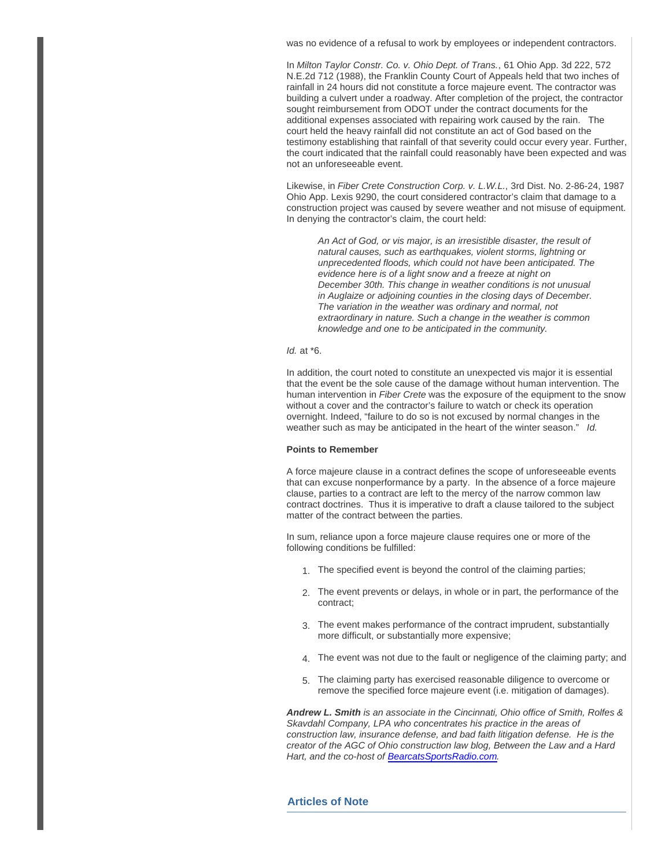was no evidence of a refusal to work by employees or independent contractors.

In Milton Taylor Constr. Co. v. Ohio Dept. of Trans., 61 Ohio App. 3d 222, 572 N.E.2d 712 (1988), the Franklin County Court of Appeals held that two inches of rainfall in 24 hours did not constitute a force majeure event. The contractor was building a culvert under a roadway. After completion of the project, the contractor sought reimbursement from ODOT under the contract documents for the additional expenses associated with repairing work caused by the rain. The court held the heavy rainfall did not constitute an act of God based on the testimony establishing that rainfall of that severity could occur every year. Further, the court indicated that the rainfall could reasonably have been expected and was not an unforeseeable event.

Likewise, in Fiber Crete Construction Corp. v. L.W.L., 3rd Dist. No. 2-86-24, 1987 Ohio App. Lexis 9290, the court considered contractor's claim that damage to a construction project was caused by severe weather and not misuse of equipment. In denying the contractor's claim, the court held:

An Act of God, or vis major, is an irresistible disaster, the result of natural causes, such as earthquakes, violent storms, lightning or unprecedented floods, which could not have been anticipated. The evidence here is of a light snow and a freeze at night on December 30th. This change in weather conditions is not unusual in Auglaize or adjoining counties in the closing days of December. The variation in the weather was ordinary and normal, not extraordinary in nature. Such a change in the weather is common knowledge and one to be anticipated in the community.

#### $Id.$  at  $*6.$

In addition, the court noted to constitute an unexpected vis major it is essential that the event be the sole cause of the damage without human intervention. The human intervention in Fiber Crete was the exposure of the equipment to the snow without a cover and the contractor's failure to watch or check its operation overnight. Indeed, "failure to do so is not excused by normal changes in the weather such as may be anticipated in the heart of the winter season." Id.

#### **Points to Remember**

A force majeure clause in a contract defines the scope of unforeseeable events that can excuse nonperformance by a party. In the absence of a force majeure clause, parties to a contract are left to the mercy of the narrow common law contract doctrines. Thus it is imperative to draft a clause tailored to the subject matter of the contract between the parties.

In sum, reliance upon a force majeure clause requires one or more of the following conditions be fulfilled:

- 1. The specified event is beyond the control of the claiming parties;
- 2. The event prevents or delays, in whole or in part, the performance of the contract;
- 3. The event makes performance of the contract imprudent, substantially more difficult, or substantially more expensive;
- 4. The event was not due to the fault or negligence of the claiming party; and
- 5. The claiming party has exercised reasonable diligence to overcome or remove the specified force majeure event (i.e. mitigation of damages).

**Andrew L. Smith** is an associate in the Cincinnati, Ohio office of Smith, Rolfes & Skavdahl Company, LPA who concentrates his practice in the areas of construction law, insurance defense, and bad faith litigation defense. He is the creator of the AGC of Ohio construction law blog, Between the Law and a Hard Hart, and the co-host of [BearcatsSportsRadio.com](http://BearcatsSportsRadio.com).

## **Articles of Note**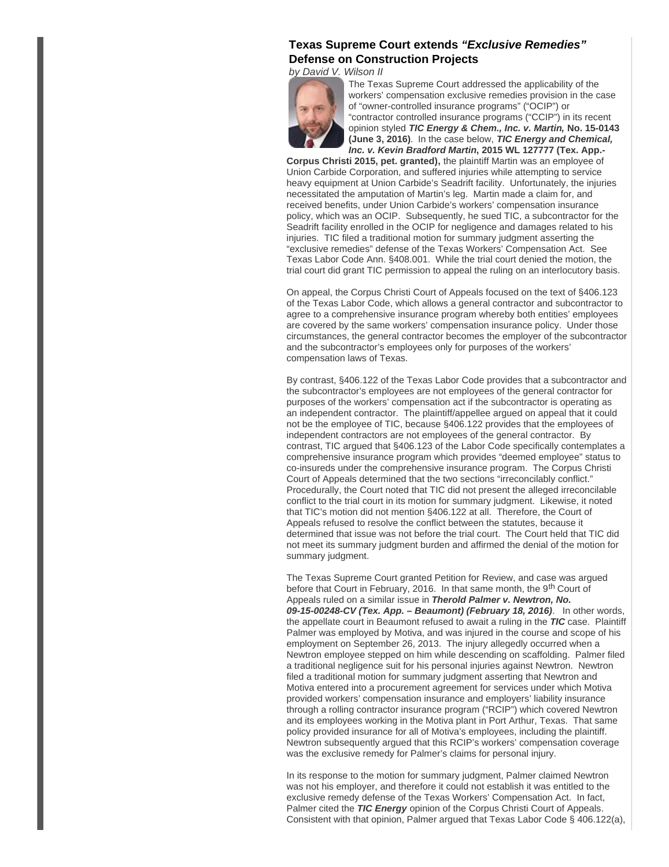## **Texas Supreme Court extends "Exclusive Remedies" Defense on Construction Projects**

by David V. Wilson II



The Texas Supreme Court addressed the applicability of the workers' compensation exclusive remedies provision in the case of "owner-controlled insurance programs" ("OCIP") or "contractor controlled insurance programs ("CCIP") in its recent opinion styled **TIC Energy & Chem., Inc. v. Martin, No. 15-0143 (June 3, 2016)**. In the case below, **TIC Energy and Chemical, Inc. v. Kevin Bradford Martin, 2015 WL 127777 (Tex. App.-**

**Corpus Christi 2015, pet. granted),** the plaintiff Martin was an employee of Union Carbide Corporation, and suffered injuries while attempting to service heavy equipment at Union Carbide's Seadrift facility. Unfortunately, the injuries necessitated the amputation of Martin's leg. Martin made a claim for, and received benefits, under Union Carbide's workers' compensation insurance policy, which was an OCIP. Subsequently, he sued TIC, a subcontractor for the Seadrift facility enrolled in the OCIP for negligence and damages related to his injuries. TIC filed a traditional motion for summary judgment asserting the "exclusive remedies" defense of the Texas Workers' Compensation Act. See Texas Labor Code Ann. §408.001. While the trial court denied the motion, the trial court did grant TIC permission to appeal the ruling on an interlocutory basis.

On appeal, the Corpus Christi Court of Appeals focused on the text of §406.123 of the Texas Labor Code, which allows a general contractor and subcontractor to agree to a comprehensive insurance program whereby both entities' employees are covered by the same workers' compensation insurance policy. Under those circumstances, the general contractor becomes the employer of the subcontractor and the subcontractor's employees only for purposes of the workers' compensation laws of Texas.

By contrast, §406.122 of the Texas Labor Code provides that a subcontractor and the subcontractor's employees are not employees of the general contractor for purposes of the workers' compensation act if the subcontractor is operating as an independent contractor. The plaintiff/appellee argued on appeal that it could not be the employee of TIC, because §406.122 provides that the employees of independent contractors are not employees of the general contractor. By contrast, TIC argued that §406.123 of the Labor Code specifically contemplates a comprehensive insurance program which provides "deemed employee" status to co-insureds under the comprehensive insurance program. The Corpus Christi Court of Appeals determined that the two sections "irreconcilably conflict." Procedurally, the Court noted that TIC did not present the alleged irreconcilable conflict to the trial court in its motion for summary judgment. Likewise, it noted that TIC's motion did not mention §406.122 at all. Therefore, the Court of Appeals refused to resolve the conflict between the statutes, because it determined that issue was not before the trial court. The Court held that TIC did not meet its summary judgment burden and affirmed the denial of the motion for summary judgment.

The Texas Supreme Court granted Petition for Review, and case was argued before that Court in February, 2016. In that same month, the 9<sup>th</sup> Court of Appeals ruled on a similar issue in **Therold Palmer v. Newtron, No. 09-15-00248-CV (Tex. App. – Beaumont) (February 18, 2016)**. In other words, the appellate court in Beaumont refused to await a ruling in the **TIC** case. Plaintiff Palmer was employed by Motiva, and was injured in the course and scope of his employment on September 26, 2013. The injury allegedly occurred when a Newtron employee stepped on him while descending on scaffolding. Palmer filed a traditional negligence suit for his personal injuries against Newtron. Newtron filed a traditional motion for summary judgment asserting that Newtron and Motiva entered into a procurement agreement for services under which Motiva provided workers' compensation insurance and employers' liability insurance through a rolling contractor insurance program ("RCIP") which covered Newtron and its employees working in the Motiva plant in Port Arthur, Texas. That same policy provided insurance for all of Motiva's employees, including the plaintiff. Newtron subsequently argued that this RCIP's workers' compensation coverage was the exclusive remedy for Palmer's claims for personal injury.

In its response to the motion for summary judgment, Palmer claimed Newtron was not his employer, and therefore it could not establish it was entitled to the exclusive remedy defense of the Texas Workers' Compensation Act. In fact, Palmer cited the **TIC Energy** opinion of the Corpus Christi Court of Appeals. Consistent with that opinion, Palmer argued that Texas Labor Code § 406.122(a),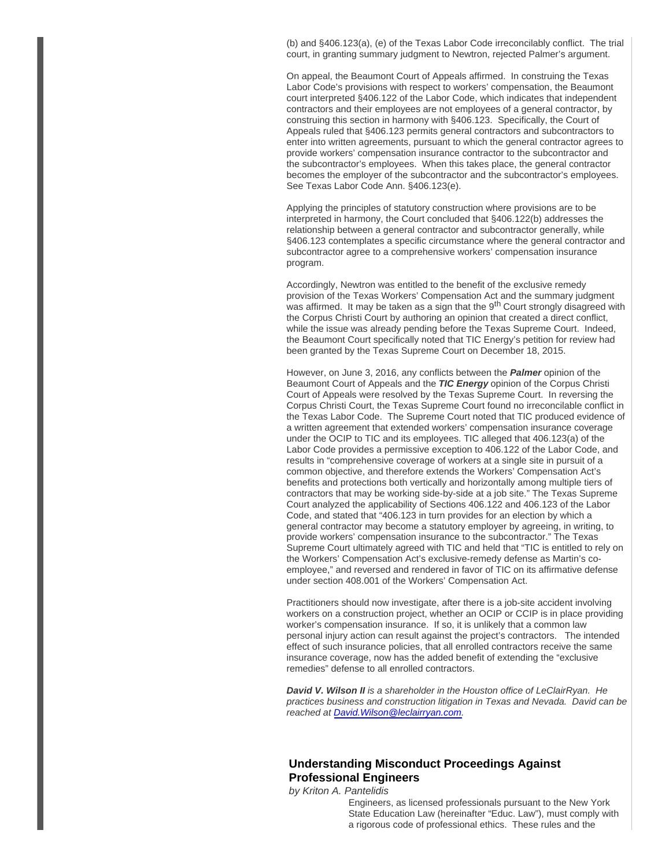(b) and §406.123(a), (e) of the Texas Labor Code irreconcilably conflict. The trial court, in granting summary judgment to Newtron, rejected Palmer's argument.

On appeal, the Beaumont Court of Appeals affirmed. In construing the Texas Labor Code's provisions with respect to workers' compensation, the Beaumont court interpreted §406.122 of the Labor Code, which indicates that independent contractors and their employees are not employees of a general contractor, by construing this section in harmony with §406.123. Specifically, the Court of Appeals ruled that §406.123 permits general contractors and subcontractors to enter into written agreements, pursuant to which the general contractor agrees to provide workers' compensation insurance contractor to the subcontractor and the subcontractor's employees. When this takes place, the general contractor becomes the employer of the subcontractor and the subcontractor's employees. See Texas Labor Code Ann. §406.123(e).

Applying the principles of statutory construction where provisions are to be interpreted in harmony, the Court concluded that §406.122(b) addresses the relationship between a general contractor and subcontractor generally, while §406.123 contemplates a specific circumstance where the general contractor and subcontractor agree to a comprehensive workers' compensation insurance program.

Accordingly, Newtron was entitled to the benefit of the exclusive remedy provision of the Texas Workers' Compensation Act and the summary judgment was affirmed. It may be taken as a sign that the 9<sup>th</sup> Court strongly disagreed with the Corpus Christi Court by authoring an opinion that created a direct conflict, while the issue was already pending before the Texas Supreme Court. Indeed, the Beaumont Court specifically noted that TIC Energy's petition for review had been granted by the Texas Supreme Court on December 18, 2015.

However, on June 3, 2016, any conflicts between the **Palmer** opinion of the Beaumont Court of Appeals and the **TIC Energy** opinion of the Corpus Christi Court of Appeals were resolved by the Texas Supreme Court. In reversing the Corpus Christi Court, the Texas Supreme Court found no irreconcilable conflict in the Texas Labor Code. The Supreme Court noted that TIC produced evidence of a written agreement that extended workers' compensation insurance coverage under the OCIP to TIC and its employees. TIC alleged that 406.123(a) of the Labor Code provides a permissive exception to 406.122 of the Labor Code, and results in "comprehensive coverage of workers at a single site in pursuit of a common objective, and therefore extends the Workers' Compensation Act's benefits and protections both vertically and horizontally among multiple tiers of contractors that may be working side-by-side at a job site." The Texas Supreme Court analyzed the applicability of Sections 406.122 and 406.123 of the Labor Code, and stated that "406.123 in turn provides for an election by which a general contractor may become a statutory employer by agreeing, in writing, to provide workers' compensation insurance to the subcontractor." The Texas Supreme Court ultimately agreed with TIC and held that "TIC is entitled to rely on the Workers' Compensation Act's exclusive-remedy defense as Martin's coemployee," and reversed and rendered in favor of TIC on its affirmative defense under section 408.001 of the Workers' Compensation Act.

Practitioners should now investigate, after there is a job-site accident involving workers on a construction project, whether an OCIP or CCIP is in place providing worker's compensation insurance. If so, it is unlikely that a common law personal injury action can result against the project's contractors. The intended effect of such insurance policies, that all enrolled contractors receive the same insurance coverage, now has the added benefit of extending the "exclusive remedies" defense to all enrolled contractors.

**David V. Wilson II** is a shareholder in the Houston office of LeClairRyan. He practices business and construction litigation in Texas and Nevada. David can be reached at [David.Wilson@leclairryan.com](mailto:David.Wilson@leclairryan.com).

## **Understanding Misconduct Proceedings Against Professional Engineers**

by Kriton A. Pantelidis

Engineers, as licensed professionals pursuant to the New York State Education Law (hereinafter "Educ. Law"), must comply with a rigorous code of professional ethics. These rules and the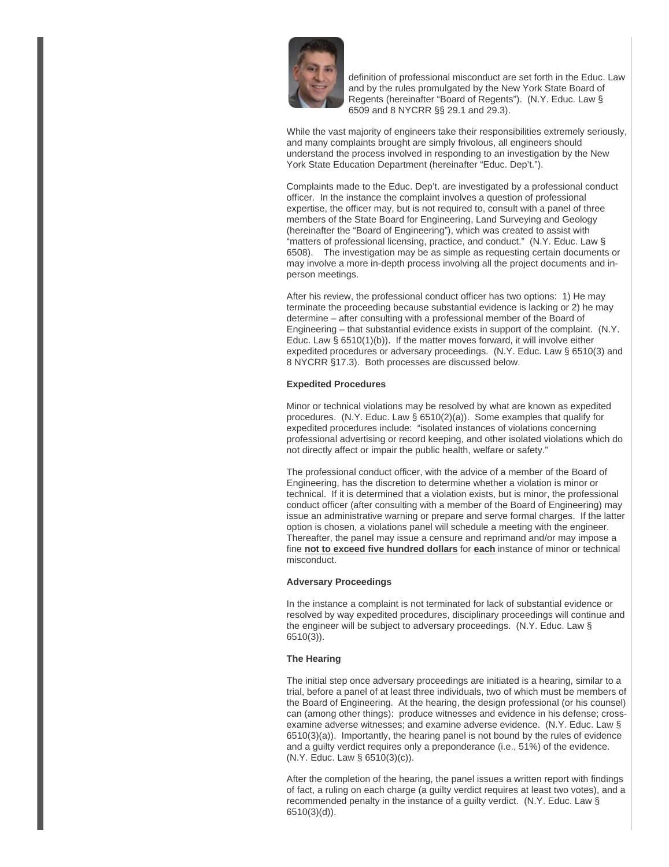

definition of professional misconduct are set forth in the Educ. Law and by the rules promulgated by the New York State Board of Regents (hereinafter "Board of Regents"). (N.Y. Educ. Law § 6509 and 8 NYCRR §§ 29.1 and 29.3).

While the vast majority of engineers take their responsibilities extremely seriously, and many complaints brought are simply frivolous, all engineers should understand the process involved in responding to an investigation by the New York State Education Department (hereinafter "Educ. Dep't.").

Complaints made to the Educ. Dep't. are investigated by a professional conduct officer. In the instance the complaint involves a question of professional expertise, the officer may, but is not required to, consult with a panel of three members of the State Board for Engineering, Land Surveying and Geology (hereinafter the "Board of Engineering"), which was created to assist with "matters of professional licensing, practice, and conduct." (N.Y. Educ. Law § 6508). The investigation may be as simple as requesting certain documents or may involve a more in-depth process involving all the project documents and inperson meetings.

After his review, the professional conduct officer has two options: 1) He may terminate the proceeding because substantial evidence is lacking or 2) he may determine – after consulting with a professional member of the Board of Engineering – that substantial evidence exists in support of the complaint. (N.Y. Educ. Law § 6510(1)(b)). If the matter moves forward, it will involve either expedited procedures or adversary proceedings. (N.Y. Educ. Law § 6510(3) and 8 NYCRR §17.3). Both processes are discussed below.

#### **Expedited Procedures**

Minor or technical violations may be resolved by what are known as expedited procedures. (N.Y. Educ. Law § 6510(2)(a)). Some examples that qualify for expedited procedures include: "isolated instances of violations concerning professional advertising or record keeping, and other isolated violations which do not directly affect or impair the public health, welfare or safety."

The professional conduct officer, with the advice of a member of the Board of Engineering, has the discretion to determine whether a violation is minor or technical. If it is determined that a violation exists, but is minor, the professional conduct officer (after consulting with a member of the Board of Engineering) may issue an administrative warning or prepare and serve formal charges. If the latter option is chosen, a violations panel will schedule a meeting with the engineer. Thereafter, the panel may issue a censure and reprimand and/or may impose a fine **not to exceed five hundred dollars** for **each** instance of minor or technical misconduct.

#### **Adversary Proceedings**

In the instance a complaint is not terminated for lack of substantial evidence or resolved by way expedited procedures, disciplinary proceedings will continue and the engineer will be subject to adversary proceedings. (N.Y. Educ. Law § 6510(3)).

#### **The Hearing**

The initial step once adversary proceedings are initiated is a hearing, similar to a trial, before a panel of at least three individuals, two of which must be members of the Board of Engineering. At the hearing, the design professional (or his counsel) can (among other things): produce witnesses and evidence in his defense; crossexamine adverse witnesses; and examine adverse evidence. (N.Y. Educ. Law § 6510(3)(a)). Importantly, the hearing panel is not bound by the rules of evidence and a guilty verdict requires only a preponderance (i.e., 51%) of the evidence. (N.Y. Educ. Law § 6510(3)(c)).

After the completion of the hearing, the panel issues a written report with findings of fact, a ruling on each charge (a guilty verdict requires at least two votes), and a recommended penalty in the instance of a guilty verdict. (N.Y. Educ. Law § 6510(3)(d)).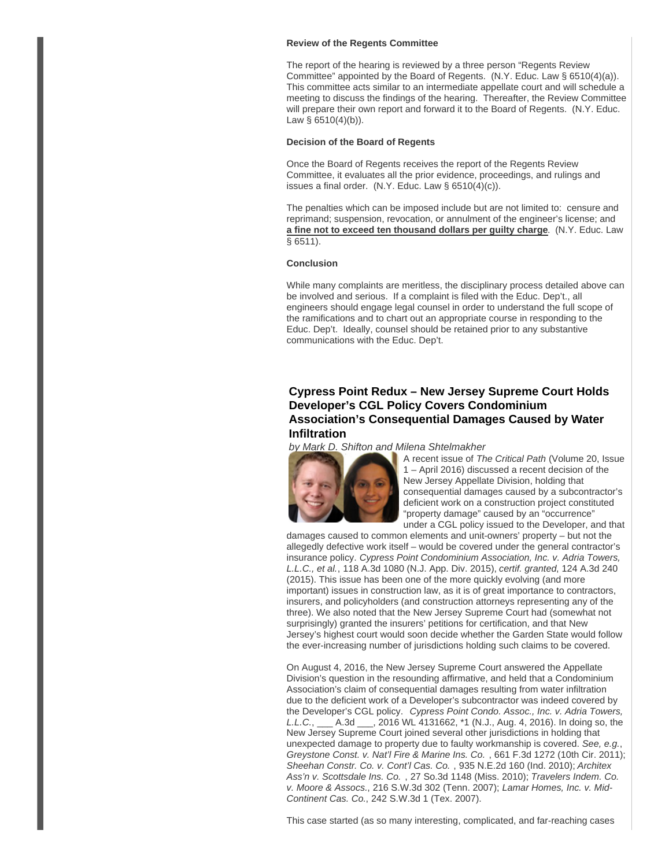#### **Review of the Regents Committee**

The report of the hearing is reviewed by a three person "Regents Review Committee" appointed by the Board of Regents. (N.Y. Educ. Law § 6510(4)(a)). This committee acts similar to an intermediate appellate court and will schedule a meeting to discuss the findings of the hearing. Thereafter, the Review Committee will prepare their own report and forward it to the Board of Regents. (N.Y. Educ. Law  $\S$  6510(4)(b)).

#### **Decision of the Board of Regents**

Once the Board of Regents receives the report of the Regents Review Committee, it evaluates all the prior evidence, proceedings, and rulings and issues a final order.  $(N.Y.$  Educ. Law § 6510(4)(c)).

The penalties which can be imposed include but are not limited to: censure and reprimand; suspension, revocation, or annulment of the engineer's license; and **a fine not to exceed ten thousand dollars per guilty charge**. (N.Y. Educ. Law § 6511).

#### **Conclusion**

While many complaints are meritless, the disciplinary process detailed above can be involved and serious. If a complaint is filed with the Educ. Dep't., all engineers should engage legal counsel in order to understand the full scope of the ramifications and to chart out an appropriate course in responding to the Educ. Dep't. Ideally, counsel should be retained prior to any substantive communications with the Educ. Dep't.

## **Cypress Point Redux – New Jersey Supreme Court Holds Developer's CGL Policy Covers Condominium Association's Consequential Damages Caused by Water Infiltration**

by Mark D. Shifton and Milena Shtelmakher



A recent issue of The Critical Path (Volume 20, Issue 1 – April 2016) discussed a recent decision of the New Jersey Appellate Division, holding that consequential damages caused by a subcontractor's deficient work on a construction project constituted "property damage" caused by an "occurrence" under a CGL policy issued to the Developer, and that

damages caused to common elements and unit-owners' property – but not the allegedly defective work itself – would be covered under the general contractor's insurance policy. Cypress Point Condominium Association, Inc. v. Adria Towers, L.L.C., et al., 118 A.3d 1080 (N.J. App. Div. 2015), certif. granted, 124 A.3d 240 (2015). This issue has been one of the more quickly evolving (and more important) issues in construction law, as it is of great importance to contractors, insurers, and policyholders (and construction attorneys representing any of the three). We also noted that the New Jersey Supreme Court had (somewhat not surprisingly) granted the insurers' petitions for certification, and that New Jersey's highest court would soon decide whether the Garden State would follow the ever-increasing number of jurisdictions holding such claims to be covered.

On August 4, 2016, the New Jersey Supreme Court answered the Appellate Division's question in the resounding affirmative, and held that a Condominium Association's claim of consequential damages resulting from water infiltration due to the deficient work of a Developer's subcontractor was indeed covered by the Developer's CGL policy. Cypress Point Condo. Assoc., Inc. v. Adria Towers, L.L.C., \_\_\_ A.3d \_\_\_, 2016 WL 4131662, \*1 (N.J., Aug. 4, 2016). In doing so, the New Jersey Supreme Court joined several other jurisdictions in holding that unexpected damage to property due to faulty workmanship is covered. See, e.g., Greystone Const. v. Nat'l Fire & Marine Ins. Co. , 661 F.3d 1272 (10th Cir. 2011); Sheehan Constr. Co. v. Cont'l Cas. Co. , 935 N.E.2d 160 (Ind. 2010); Architex Ass'n v. Scottsdale Ins. Co. , 27 So.3d 1148 (Miss. 2010); Travelers Indem. Co. v. Moore & Assocs., 216 S.W.3d 302 (Tenn. 2007); Lamar Homes, Inc. v. Mid-Continent Cas. Co., 242 S.W.3d 1 (Tex. 2007).

This case started (as so many interesting, complicated, and far-reaching cases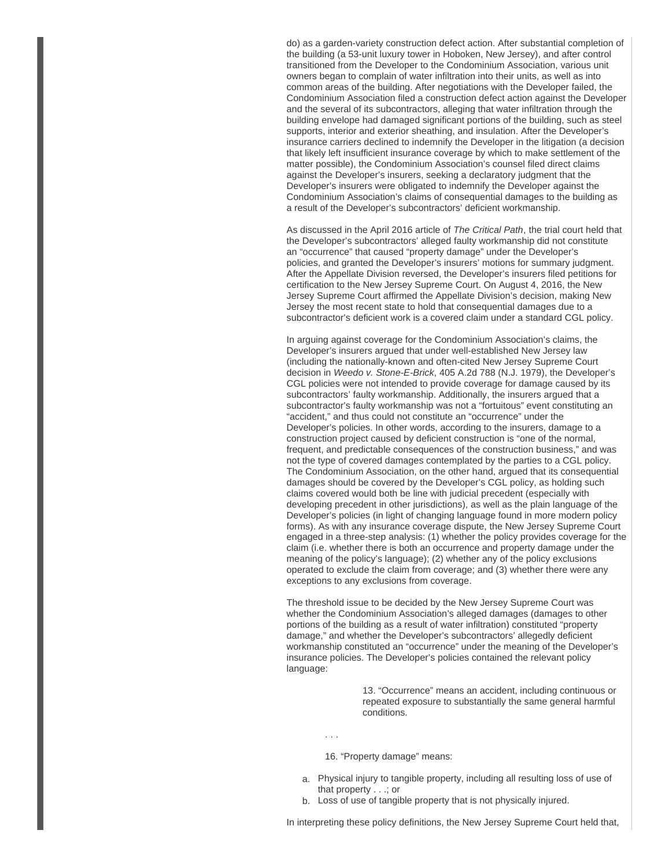do) as a garden-variety construction defect action. After substantial completion of the building (a 53-unit luxury tower in Hoboken, New Jersey), and after control transitioned from the Developer to the Condominium Association, various unit owners began to complain of water infiltration into their units, as well as into common areas of the building. After negotiations with the Developer failed, the Condominium Association filed a construction defect action against the Developer and the several of its subcontractors, alleging that water infiltration through the building envelope had damaged significant portions of the building, such as steel supports, interior and exterior sheathing, and insulation. After the Developer's insurance carriers declined to indemnify the Developer in the litigation (a decision that likely left insufficient insurance coverage by which to make settlement of the matter possible), the Condominium Association's counsel filed direct claims against the Developer's insurers, seeking a declaratory judgment that the Developer's insurers were obligated to indemnify the Developer against the Condominium Association's claims of consequential damages to the building as a result of the Developer's subcontractors' deficient workmanship.

As discussed in the April 2016 article of The Critical Path, the trial court held that the Developer's subcontractors' alleged faulty workmanship did not constitute an "occurrence" that caused "property damage" under the Developer's policies, and granted the Developer's insurers' motions for summary judgment. After the Appellate Division reversed, the Developer's insurers filed petitions for certification to the New Jersey Supreme Court. On August 4, 2016, the New Jersey Supreme Court affirmed the Appellate Division's decision, making New Jersey the most recent state to hold that consequential damages due to a subcontractor's deficient work is a covered claim under a standard CGL policy.

In arguing against coverage for the Condominium Association's claims, the Developer's insurers argued that under well-established New Jersey law (including the nationally-known and often-cited New Jersey Supreme Court decision in Weedo v. Stone-E-Brick, 405 A.2d 788 (N.J. 1979), the Developer's CGL policies were not intended to provide coverage for damage caused by its subcontractors' faulty workmanship. Additionally, the insurers argued that a subcontractor's faulty workmanship was not a "fortuitous" event constituting an "accident," and thus could not constitute an "occurrence" under the Developer's policies. In other words, according to the insurers, damage to a construction project caused by deficient construction is "one of the normal, frequent, and predictable consequences of the construction business," and was not the type of covered damages contemplated by the parties to a CGL policy. The Condominium Association, on the other hand, argued that its consequential damages should be covered by the Developer's CGL policy, as holding such claims covered would both be line with judicial precedent (especially with developing precedent in other jurisdictions), as well as the plain language of the Developer's policies (in light of changing language found in more modern policy forms). As with any insurance coverage dispute, the New Jersey Supreme Court engaged in a three-step analysis: (1) whether the policy provides coverage for the claim (i.e. whether there is both an occurrence and property damage under the meaning of the policy's language); (2) whether any of the policy exclusions operated to exclude the claim from coverage; and (3) whether there were any exceptions to any exclusions from coverage.

The threshold issue to be decided by the New Jersey Supreme Court was whether the Condominium Association's alleged damages (damages to other portions of the building as a result of water infiltration) constituted "property damage," and whether the Developer's subcontractors' allegedly deficient workmanship constituted an "occurrence" under the meaning of the Developer's insurance policies. The Developer's policies contained the relevant policy language:

> 13. "Occurrence" means an accident, including continuous or repeated exposure to substantially the same general harmful conditions.

. . .

16. "Property damage" means:

- a. Physical injury to tangible property, including all resulting loss of use of that property . . .; or
- b. Loss of use of tangible property that is not physically injured.

In interpreting these policy definitions, the New Jersey Supreme Court held that,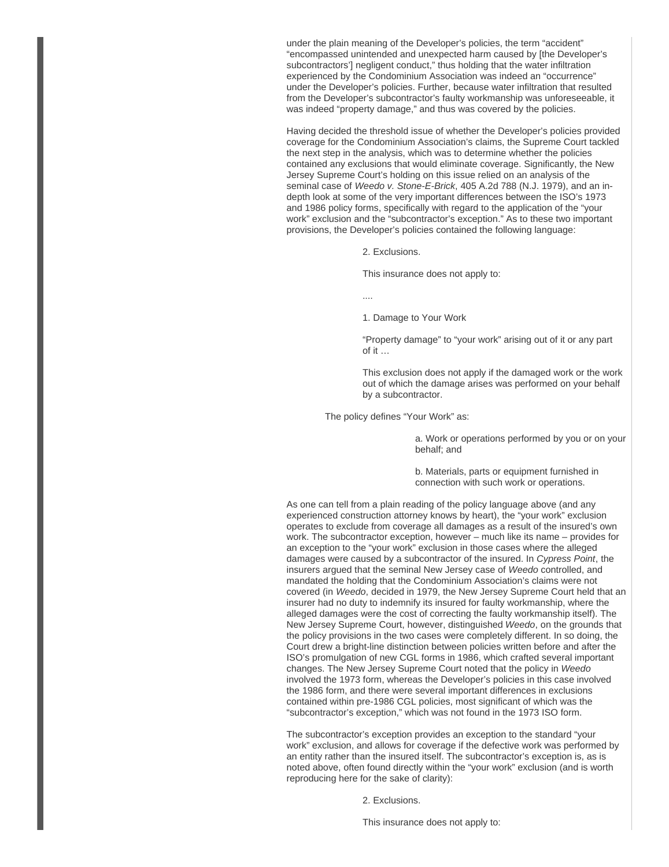under the plain meaning of the Developer's policies, the term "accident" "encompassed unintended and unexpected harm caused by [the Developer's subcontractors'] negligent conduct," thus holding that the water infiltration experienced by the Condominium Association was indeed an "occurrence" under the Developer's policies. Further, because water infiltration that resulted from the Developer's subcontractor's faulty workmanship was unforeseeable, it was indeed "property damage," and thus was covered by the policies.

Having decided the threshold issue of whether the Developer's policies provided coverage for the Condominium Association's claims, the Supreme Court tackled the next step in the analysis, which was to determine whether the policies contained any exclusions that would eliminate coverage. Significantly, the New Jersey Supreme Court's holding on this issue relied on an analysis of the seminal case of Weedo v. Stone-E-Brick, 405 A.2d 788 (N.J. 1979), and an indepth look at some of the very important differences between the ISO's 1973 and 1986 policy forms, specifically with regard to the application of the "your work" exclusion and the "subcontractor's exception." As to these two important provisions, the Developer's policies contained the following language:

2. Exclusions.

This insurance does not apply to:

....

1. Damage to Your Work

"Property damage" to "your work" arising out of it or any part of it …

This exclusion does not apply if the damaged work or the work out of which the damage arises was performed on your behalf by a subcontractor.

The policy defines "Your Work" as:

a. Work or operations performed by you or on your behalf; and

b. Materials, parts or equipment furnished in connection with such work or operations.

As one can tell from a plain reading of the policy language above (and any experienced construction attorney knows by heart), the "your work" exclusion operates to exclude from coverage all damages as a result of the insured's own work. The subcontractor exception, however – much like its name – provides for an exception to the "your work" exclusion in those cases where the alleged damages were caused by a subcontractor of the insured. In Cypress Point, the insurers argued that the seminal New Jersey case of Weedo controlled, and mandated the holding that the Condominium Association's claims were not covered (in Weedo, decided in 1979, the New Jersey Supreme Court held that an insurer had no duty to indemnify its insured for faulty workmanship, where the alleged damages were the cost of correcting the faulty workmanship itself). The New Jersey Supreme Court, however, distinguished Weedo, on the grounds that the policy provisions in the two cases were completely different. In so doing, the Court drew a bright-line distinction between policies written before and after the ISO's promulgation of new CGL forms in 1986, which crafted several important changes. The New Jersey Supreme Court noted that the policy in Weedo involved the 1973 form, whereas the Developer's policies in this case involved the 1986 form, and there were several important differences in exclusions contained within pre-1986 CGL policies, most significant of which was the "subcontractor's exception," which was not found in the 1973 ISO form.

The subcontractor's exception provides an exception to the standard "your work" exclusion, and allows for coverage if the defective work was performed by an entity rather than the insured itself. The subcontractor's exception is, as is noted above, often found directly within the "your work" exclusion (and is worth reproducing here for the sake of clarity):

2. Exclusions.

This insurance does not apply to: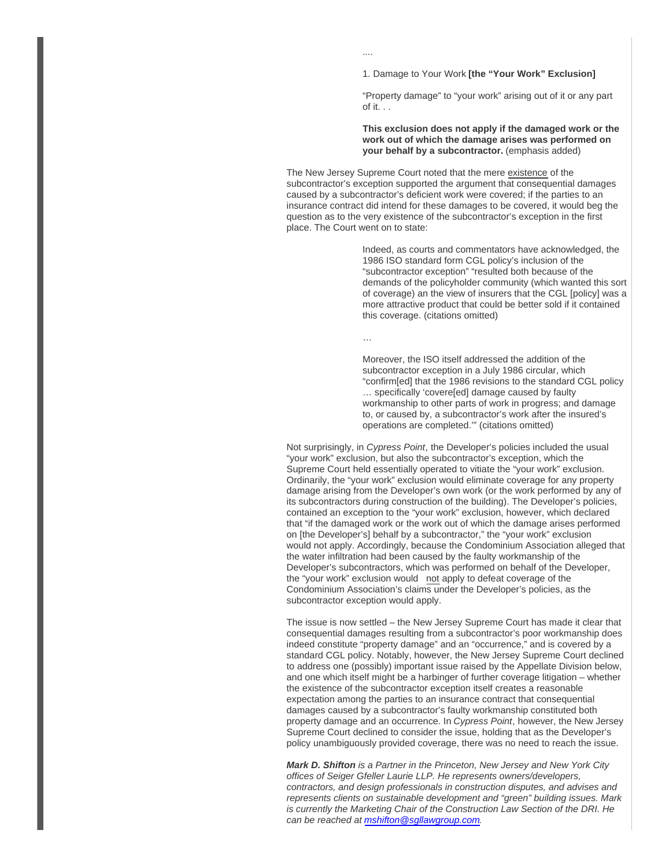1. Damage to Your Work **[the "Your Work" Exclusion]**

"Property damage" to "your work" arising out of it or any part of it. . .

#### **This exclusion does not apply if the damaged work or the work out of which the damage arises was performed on your behalf by a subcontractor.** (emphasis added)

The New Jersey Supreme Court noted that the mere existence of the subcontractor's exception supported the argument that consequential damages caused by a subcontractor's deficient work were covered; if the parties to an insurance contract did intend for these damages to be covered, it would beg the question as to the very existence of the subcontractor's exception in the first place. The Court went on to state:

> Indeed, as courts and commentators have acknowledged, the 1986 ISO standard form CGL policy's inclusion of the "subcontractor exception" "resulted both because of the demands of the policyholder community (which wanted this sort of coverage) an the view of insurers that the CGL [policy] was a more attractive product that could be better sold if it contained this coverage. (citations omitted)

…

....

Moreover, the ISO itself addressed the addition of the subcontractor exception in a July 1986 circular, which "confirm[ed] that the 1986 revisions to the standard CGL policy … specifically 'covere[ed] damage caused by faulty workmanship to other parts of work in progress; and damage to, or caused by, a subcontractor's work after the insured's operations are completed.'" (citations omitted)

Not surprisingly, in Cypress Point, the Developer's policies included the usual "your work" exclusion, but also the subcontractor's exception, which the Supreme Court held essentially operated to vitiate the "your work" exclusion. Ordinarily, the "your work" exclusion would eliminate coverage for any property damage arising from the Developer's own work (or the work performed by any of its subcontractors during construction of the building). The Developer's policies, contained an exception to the "your work" exclusion, however, which declared that "if the damaged work or the work out of which the damage arises performed on [the Developer's] behalf by a subcontractor," the "your work" exclusion would not apply. Accordingly, because the Condominium Association alleged that the water infiltration had been caused by the faulty workmanship of the Developer's subcontractors, which was performed on behalf of the Developer, the "your work" exclusion would not apply to defeat coverage of the Condominium Association's claims under the Developer's policies, as the subcontractor exception would apply.

The issue is now settled – the New Jersey Supreme Court has made it clear that consequential damages resulting from a subcontractor's poor workmanship does indeed constitute "property damage" and an "occurrence," and is covered by a standard CGL policy. Notably, however, the New Jersey Supreme Court declined to address one (possibly) important issue raised by the Appellate Division below, and one which itself might be a harbinger of further coverage litigation – whether the existence of the subcontractor exception itself creates a reasonable expectation among the parties to an insurance contract that consequential damages caused by a subcontractor's faulty workmanship constituted both property damage and an occurrence. In Cypress Point, however, the New Jersey Supreme Court declined to consider the issue, holding that as the Developer's policy unambiguously provided coverage, there was no need to reach the issue.

**Mark D. Shifton** is a Partner in the Princeton, New Jersey and New York City offices of Seiger Gfeller Laurie LLP. He represents owners/developers, contractors, and design professionals in construction disputes, and advises and represents clients on sustainable development and "green" building issues. Mark is currently the Marketing Chair of the Construction Law Section of the DRI. He can be reached at [mshifton@sgllawgroup.com](mailto:mshifton@sgllawgroup.com)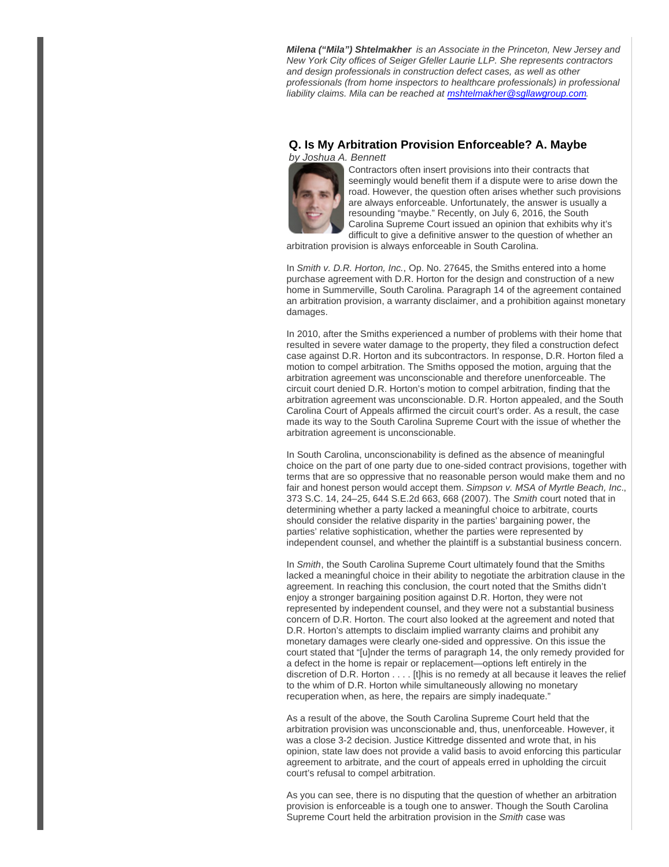**Milena ("Mila") Shtelmakher** is an Associate in the Princeton, New Jersey and New York City offices of Seiger Gfeller Laurie LLP. She represents contractors and design professionals in construction defect cases, as well as other professionals (from home inspectors to healthcare professionals) in professional liability claims. Mila can be reached at mshtelmakher@sqllawgroup.com.

## **Q. Is My Arbitration Provision Enforceable? A. Maybe**



Contractors often insert provisions into their contracts that seemingly would benefit them if a dispute were to arise down the road. However, the question often arises whether such provisions are always enforceable. Unfortunately, the answer is usually a resounding "maybe." Recently, on July 6, 2016, the South Carolina Supreme Court issued an opinion that exhibits why it's difficult to give a definitive answer to the question of whether an

arbitration provision is always enforceable in South Carolina.

In Smith v. D.R. Horton, Inc., Op. No. 27645, the Smiths entered into a home purchase agreement with D.R. Horton for the design and construction of a new home in Summerville, South Carolina. Paragraph 14 of the agreement contained an arbitration provision, a warranty disclaimer, and a prohibition against monetary damages.

In 2010, after the Smiths experienced a number of problems with their home that resulted in severe water damage to the property, they filed a construction defect case against D.R. Horton and its subcontractors. In response, D.R. Horton filed a motion to compel arbitration. The Smiths opposed the motion, arguing that the arbitration agreement was unconscionable and therefore unenforceable. The circuit court denied D.R. Horton's motion to compel arbitration, finding that the arbitration agreement was unconscionable. D.R. Horton appealed, and the South Carolina Court of Appeals affirmed the circuit court's order. As a result, the case made its way to the South Carolina Supreme Court with the issue of whether the arbitration agreement is unconscionable.

In South Carolina, unconscionability is defined as the absence of meaningful choice on the part of one party due to one-sided contract provisions, together with terms that are so oppressive that no reasonable person would make them and no fair and honest person would accept them. Simpson v. MSA of Myrtle Beach, Inc., 373 S.C. 14, 24–25, 644 S.E.2d 663, 668 (2007). The Smith court noted that in determining whether a party lacked a meaningful choice to arbitrate, courts should consider the relative disparity in the parties' bargaining power, the parties' relative sophistication, whether the parties were represented by independent counsel, and whether the plaintiff is a substantial business concern.

In Smith, the South Carolina Supreme Court ultimately found that the Smiths lacked a meaningful choice in their ability to negotiate the arbitration clause in the agreement. In reaching this conclusion, the court noted that the Smiths didn't enjoy a stronger bargaining position against D.R. Horton, they were not represented by independent counsel, and they were not a substantial business concern of D.R. Horton. The court also looked at the agreement and noted that D.R. Horton's attempts to disclaim implied warranty claims and prohibit any monetary damages were clearly one-sided and oppressive. On this issue the court stated that "[u]nder the terms of paragraph 14, the only remedy provided for a defect in the home is repair or replacement—options left entirely in the discretion of D.R. Horton . . . . [t]his is no remedy at all because it leaves the relief to the whim of D.R. Horton while simultaneously allowing no monetary recuperation when, as here, the repairs are simply inadequate."

As a result of the above, the South Carolina Supreme Court held that the arbitration provision was unconscionable and, thus, unenforceable. However, it was a close 3-2 decision. Justice Kittredge dissented and wrote that, in his opinion, state law does not provide a valid basis to avoid enforcing this particular agreement to arbitrate, and the court of appeals erred in upholding the circuit court's refusal to compel arbitration.

As you can see, there is no disputing that the question of whether an arbitration provision is enforceable is a tough one to answer. Though the South Carolina Supreme Court held the arbitration provision in the Smith case was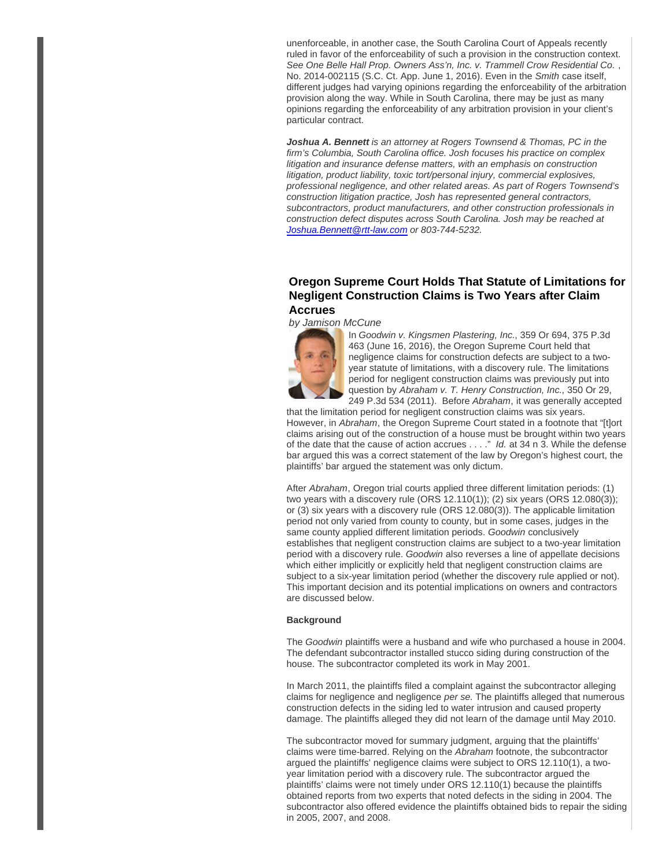unenforceable, in another case, the South Carolina Court of Appeals recently ruled in favor of the enforceability of such a provision in the construction context. See One Belle Hall Prop. Owners Ass'n, Inc. v. Trammell Crow Residential Co. , No. 2014-002115 (S.C. Ct. App. June 1, 2016). Even in the Smith case itself, different judges had varying opinions regarding the enforceability of the arbitration provision along the way. While in South Carolina, there may be just as many opinions regarding the enforceability of any arbitration provision in your client's particular contract.

**Joshua A. Bennett** is an attorney at Rogers Townsend & Thomas, PC in the firm's Columbia, South Carolina office. Josh focuses his practice on complex litigation and insurance defense matters, with an emphasis on construction litigation, product liability, toxic tort/personal injury, commercial explosives, professional negligence, and other related areas. As part of Rogers Townsend's construction litigation practice, Josh has represented general contractors, subcontractors, product manufacturers, and other construction professionals in construction defect disputes across South Carolina. Josh may be reached at [Joshua.Bennett@rtt-law.com](mailto:Joshua.Bennett@rtt-law.com) or 803-744-5232.

## **Oregon Supreme Court Holds That Statute of Limitations for Negligent Construction Claims is Two Years after Claim Accrues**

by Jamison McCune



In Goodwin v. Kingsmen Plastering, Inc., 359 Or 694, 375 P.3d 463 (June 16, 2016), the Oregon Supreme Court held that negligence claims for construction defects are subject to a twoyear statute of limitations, with a discovery rule. The limitations period for negligent construction claims was previously put into question by Abraham v. T. Henry Construction, Inc., 350 Or 29, 249 P.3d 534 (2011). Before Abraham, it was generally accepted

that the limitation period for negligent construction claims was six years. However, in Abraham, the Oregon Supreme Court stated in a footnote that "[t]ort claims arising out of the construction of a house must be brought within two years of the date that the cause of action accrues . . . ." Id. at 34 n 3. While the defense bar argued this was a correct statement of the law by Oregon's highest court, the plaintiffs' bar argued the statement was only dictum.

After Abraham, Oregon trial courts applied three different limitation periods: (1) two years with a discovery rule (ORS 12.110(1)); (2) six years (ORS 12.080(3)); or (3) six years with a discovery rule (ORS 12.080(3)). The applicable limitation period not only varied from county to county, but in some cases, judges in the same county applied different limitation periods. Goodwin conclusively establishes that negligent construction claims are subject to a two-year limitation period with a discovery rule. Goodwin also reverses a line of appellate decisions which either implicitly or explicitly held that negligent construction claims are subject to a six-year limitation period (whether the discovery rule applied or not). This important decision and its potential implications on owners and contractors are discussed below.

#### **Background**

The Goodwin plaintiffs were a husband and wife who purchased a house in 2004. The defendant subcontractor installed stucco siding during construction of the house. The subcontractor completed its work in May 2001.

In March 2011, the plaintiffs filed a complaint against the subcontractor alleging claims for negligence and negligence per se. The plaintiffs alleged that numerous construction defects in the siding led to water intrusion and caused property damage. The plaintiffs alleged they did not learn of the damage until May 2010.

The subcontractor moved for summary judgment, arguing that the plaintiffs' claims were time-barred. Relying on the Abraham footnote, the subcontractor argued the plaintiffs' negligence claims were subject to ORS 12.110(1), a twoyear limitation period with a discovery rule. The subcontractor argued the plaintiffs' claims were not timely under ORS 12.110(1) because the plaintiffs obtained reports from two experts that noted defects in the siding in 2004. The subcontractor also offered evidence the plaintiffs obtained bids to repair the siding in 2005, 2007, and 2008.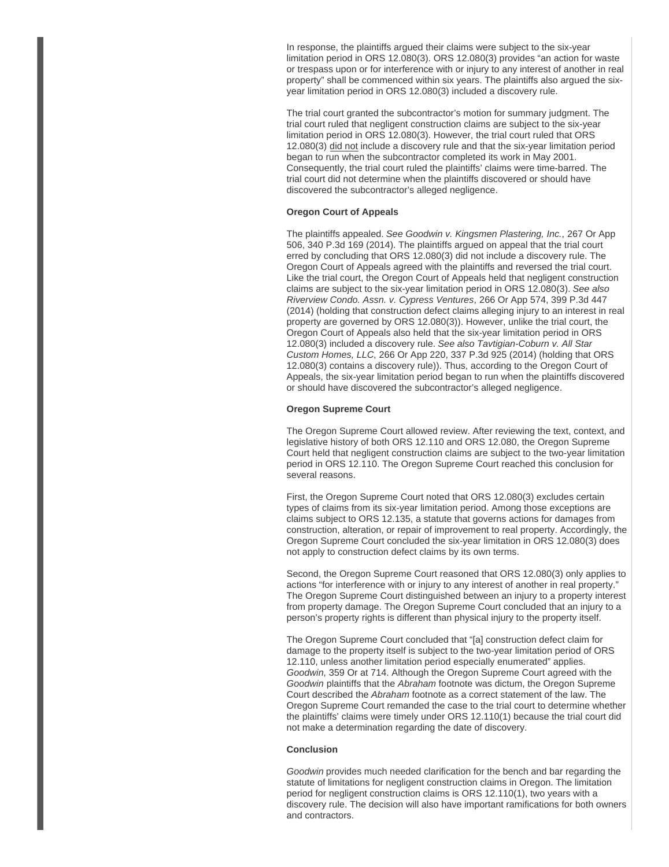In response, the plaintiffs argued their claims were subject to the six-year limitation period in ORS 12.080(3). ORS 12.080(3) provides "an action for waste or trespass upon or for interference with or injury to any interest of another in real property" shall be commenced within six years. The plaintiffs also argued the sixyear limitation period in ORS 12.080(3) included a discovery rule.

The trial court granted the subcontractor's motion for summary judgment. The trial court ruled that negligent construction claims are subject to the six-year limitation period in ORS 12.080(3). However, the trial court ruled that ORS 12.080(3) did not include a discovery rule and that the six-year limitation period began to run when the subcontractor completed its work in May 2001. Consequently, the trial court ruled the plaintiffs' claims were time-barred. The trial court did not determine when the plaintiffs discovered or should have discovered the subcontractor's alleged negligence.

#### **Oregon Court of Appeals**

The plaintiffs appealed. See Goodwin v. Kingsmen Plastering, Inc., 267 Or App 506, 340 P.3d 169 (2014). The plaintiffs argued on appeal that the trial court erred by concluding that ORS 12.080(3) did not include a discovery rule. The Oregon Court of Appeals agreed with the plaintiffs and reversed the trial court. Like the trial court, the Oregon Court of Appeals held that negligent construction claims are subject to the six-year limitation period in ORS 12.080(3). See also Riverview Condo. Assn. v. Cypress Ventures, 266 Or App 574, 399 P.3d 447 (2014) (holding that construction defect claims alleging injury to an interest in real property are governed by ORS 12.080(3)). However, unlike the trial court, the Oregon Court of Appeals also held that the six-year limitation period in ORS 12.080(3) included a discovery rule. See also Tavtigian-Coburn v. All Star Custom Homes, LLC, 266 Or App 220, 337 P.3d 925 (2014) (holding that ORS 12.080(3) contains a discovery rule)). Thus, according to the Oregon Court of Appeals, the six-year limitation period began to run when the plaintiffs discovered or should have discovered the subcontractor's alleged negligence.

#### **Oregon Supreme Court**

The Oregon Supreme Court allowed review. After reviewing the text, context, and legislative history of both ORS 12.110 and ORS 12.080, the Oregon Supreme Court held that negligent construction claims are subject to the two-year limitation period in ORS 12.110. The Oregon Supreme Court reached this conclusion for several reasons.

First, the Oregon Supreme Court noted that ORS 12.080(3) excludes certain types of claims from its six-year limitation period. Among those exceptions are claims subject to ORS 12.135, a statute that governs actions for damages from construction, alteration, or repair of improvement to real property. Accordingly, the Oregon Supreme Court concluded the six-year limitation in ORS 12.080(3) does not apply to construction defect claims by its own terms.

Second, the Oregon Supreme Court reasoned that ORS 12.080(3) only applies to actions "for interference with or injury to any interest of another in real property." The Oregon Supreme Court distinguished between an injury to a property interest from property damage. The Oregon Supreme Court concluded that an injury to a person's property rights is different than physical injury to the property itself.

The Oregon Supreme Court concluded that "[a] construction defect claim for damage to the property itself is subject to the two-year limitation period of ORS 12.110, unless another limitation period especially enumerated" applies. Goodwin, 359 Or at 714. Although the Oregon Supreme Court agreed with the Goodwin plaintiffs that the Abraham footnote was dictum, the Oregon Supreme Court described the Abraham footnote as a correct statement of the law. The Oregon Supreme Court remanded the case to the trial court to determine whether the plaintiffs' claims were timely under ORS 12.110(1) because the trial court did not make a determination regarding the date of discovery.

## **Conclusion**

Goodwin provides much needed clarification for the bench and bar regarding the statute of limitations for negligent construction claims in Oregon. The limitation period for negligent construction claims is ORS 12.110(1), two years with a discovery rule. The decision will also have important ramifications for both owners and contractors.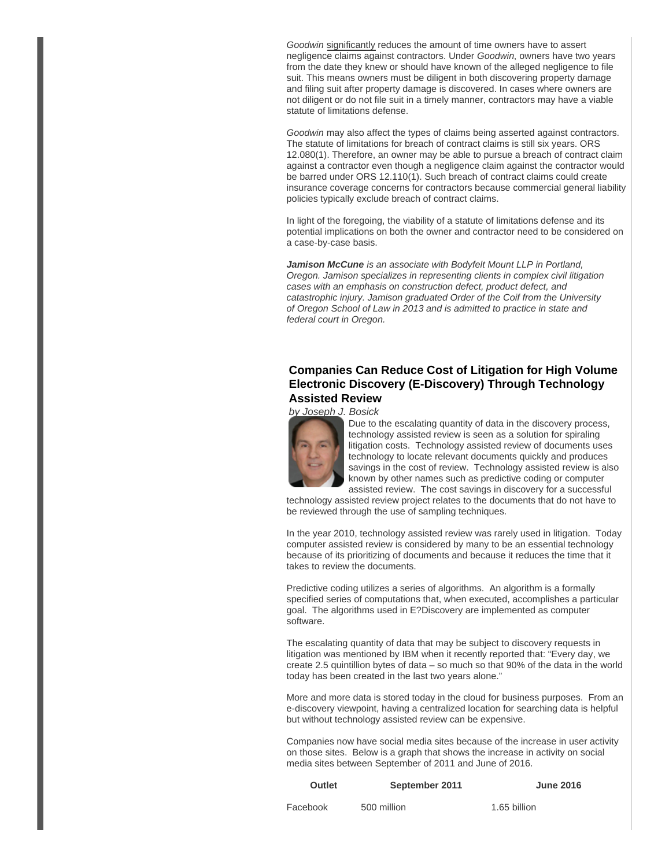Goodwin significantly reduces the amount of time owners have to assert negligence claims against contractors. Under Goodwin, owners have two years from the date they knew or should have known of the alleged negligence to file suit. This means owners must be diligent in both discovering property damage and filing suit after property damage is discovered. In cases where owners are not diligent or do not file suit in a timely manner, contractors may have a viable statute of limitations defense.

Goodwin may also affect the types of claims being asserted against contractors. The statute of limitations for breach of contract claims is still six years. ORS 12.080(1). Therefore, an owner may be able to pursue a breach of contract claim against a contractor even though a negligence claim against the contractor would be barred under ORS 12.110(1). Such breach of contract claims could create insurance coverage concerns for contractors because commercial general liability policies typically exclude breach of contract claims.

In light of the foregoing, the viability of a statute of limitations defense and its potential implications on both the owner and contractor need to be considered on a case-by-case basis.

**Jamison McCune** is an associate with Bodyfelt Mount LLP in Portland, Oregon. Jamison specializes in representing clients in complex civil litigation cases with an emphasis on construction defect, product defect, and catastrophic injury. Jamison graduated Order of the Coif from the University of Oregon School of Law in 2013 and is admitted to practice in state and federal court in Oregon.

## **Companies Can Reduce Cost of Litigation for High Volume Electronic Discovery (E-Discovery) Through Technology Assisted Review**

by Joseph J. Bosick



Due to the escalating quantity of data in the discovery process, technology assisted review is seen as a solution for spiraling litigation costs. Technology assisted review of documents uses technology to locate relevant documents quickly and produces savings in the cost of review. Technology assisted review is also known by other names such as predictive coding or computer assisted review. The cost savings in discovery for a successful

technology assisted review project relates to the documents that do not have to be reviewed through the use of sampling techniques.

In the year 2010, technology assisted review was rarely used in litigation. Today computer assisted review is considered by many to be an essential technology because of its prioritizing of documents and because it reduces the time that it takes to review the documents.

Predictive coding utilizes a series of algorithms. An algorithm is a formally specified series of computations that, when executed, accomplishes a particular goal. The algorithms used in E?Discovery are implemented as computer software.

The escalating quantity of data that may be subject to discovery requests in litigation was mentioned by IBM when it recently reported that: "Every day, we create 2.5 quintillion bytes of data – so much so that 90% of the data in the world today has been created in the last two years alone."

More and more data is stored today in the cloud for business purposes. From an e-discovery viewpoint, having a centralized location for searching data is helpful but without technology assisted review can be expensive.

Companies now have social media sites because of the increase in user activity on those sites. Below is a graph that shows the increase in activity on social media sites between September of 2011 and June of 2016.

| <b>Outlet</b> | September 2011 | <b>June 2016</b> |
|---------------|----------------|------------------|
| Facebook      | 500 million    | 1.65 billion     |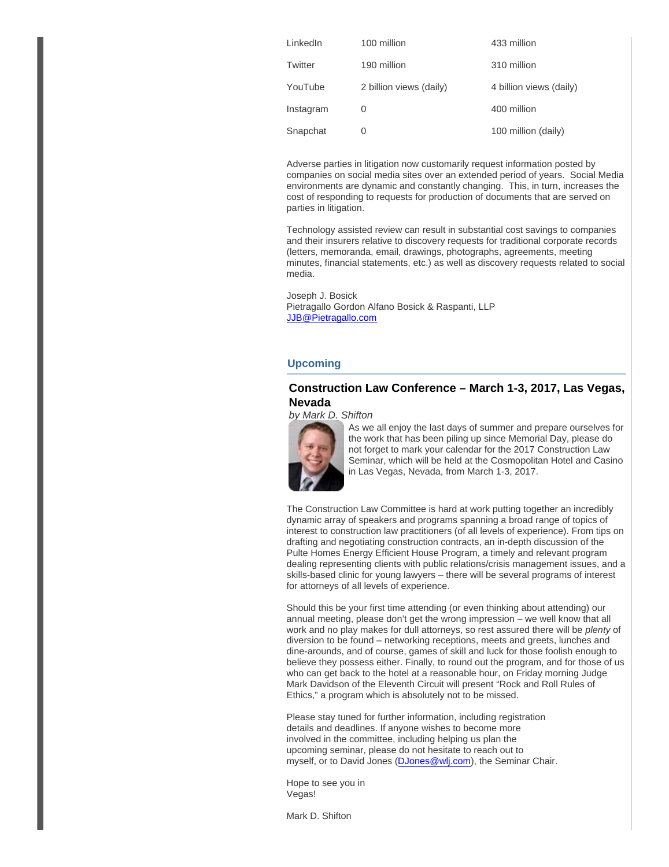| LinkedIn  | 100 million             | 433 million             |
|-----------|-------------------------|-------------------------|
| Twitter   | 190 million             | 310 million             |
| YouTube   | 2 billion views (daily) | 4 billion views (daily) |
| Instagram | O                       | 400 million             |
| Snapchat  | O                       | 100 million (daily)     |

Adverse parties in litigation now customarily request information posted by companies on social media sites over an extended period of years. Social Media environments are dynamic and constantly changing. This, in turn, increases the cost of responding to requests for production of documents that are served on parties in litigation.

Technology assisted review can result in substantial cost savings to companies and their insurers relative to discovery requests for traditional corporate records (letters, memoranda, email, drawings, photographs, agreements, meeting minutes, financial statements, etc.) as well as discovery requests related to social media.

Joseph J. Bosick Pietragallo Gordon Alfano Bosick & Raspanti, LLP [JJB@Pietragallo.com](mailto:JJB@Pietragallo.com)

## **Upcoming**

## **Construction Law Conference – March 1-3, 2017, Las Vegas, Nevada**

#### by Mark D. Shifton



As we all enjoy the last days of summer and prepare ourselves for the work that has been piling up since Memorial Day, please do not forget to mark your calendar for the 2017 Construction Law Seminar, which will be held at the Cosmopolitan Hotel and Casino in Las Vegas, Nevada, from March 1-3, 2017.

The Construction Law Committee is hard at work putting together an incredibly dynamic array of speakers and programs spanning a broad range of topics of interest to construction law practitioners (of all levels of experience). From tips on drafting and negotiating construction contracts, an in-depth discussion of the Pulte Homes Energy Efficient House Program, a timely and relevant program dealing representing clients with public relations/crisis management issues, and a skills-based clinic for young lawyers – there will be several programs of interest for attorneys of all levels of experience.

Should this be your first time attending (or even thinking about attending) our annual meeting, please don't get the wrong impression – we well know that all work and no play makes for dull attorneys, so rest assured there will be plenty of diversion to be found – networking receptions, meets and greets, lunches and dine-arounds, and of course, games of skill and luck for those foolish enough to believe they possess either. Finally, to round out the program, and for those of us who can get back to the hotel at a reasonable hour, on Friday morning Judge Mark Davidson of the Eleventh Circuit will present "Rock and Roll Rules of Ethics," a program which is absolutely not to be missed.

Please stay tuned for further information, including registration details and deadlines. If anyone wishes to become more involved in the committee, including helping us plan the upcoming seminar, please do not hesitate to reach out to myself, or to David Jones [\(DJones@wlj.com](mailto:DJones@wlj.com)), the Seminar Chair.

Hope to see you in Vegas!

Mark D. Shifton